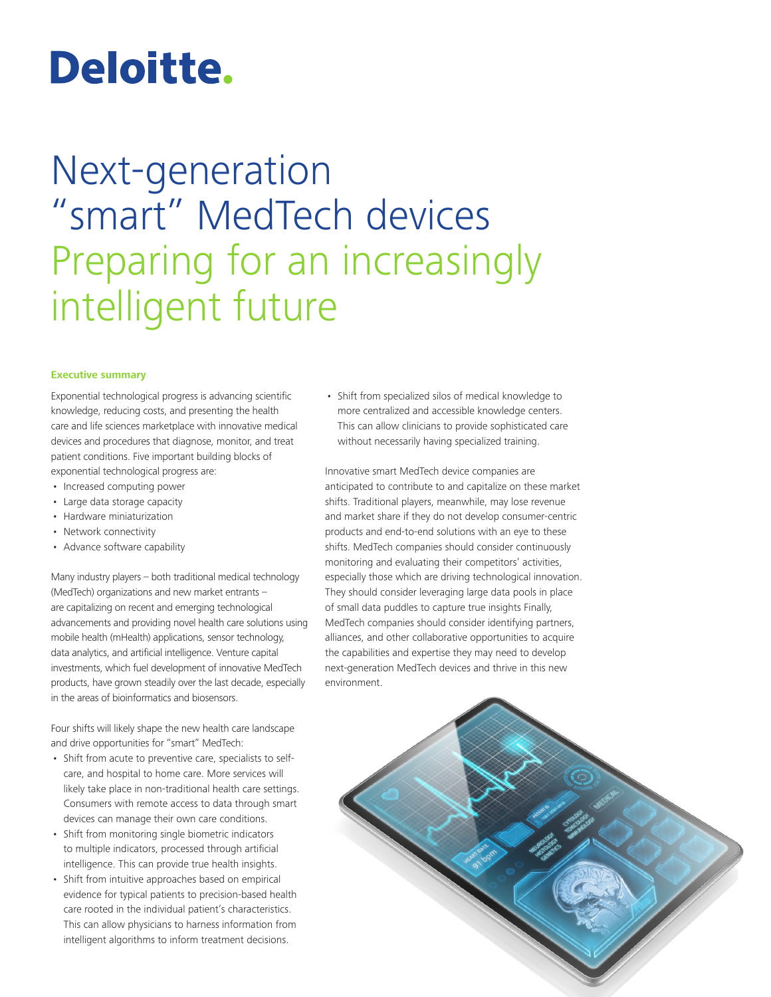# Deloitte.

## Next-generation "smart" MedTech devices Preparing for an increasingly intelligent future

#### **Executive summary**

Exponential technological progress is advancing scientific knowledge, reducing costs, and presenting the health care and life sciences marketplace with innovative medical devices and procedures that diagnose, monitor, and treat patient conditions. Five important building blocks of exponential technological progress are:

- Increased computing power
- Large data storage capacity
- Hardware miniaturization
- Network connectivity
- Advance software capability

Many industry players – both traditional medical technology (MedTech) organizations and new market entrants – are capitalizing on recent and emerging technological advancements and providing novel health care solutions using mobile health (mHealth) applications, sensor technology, data analytics, and artificial intelligence. Venture capital investments, which fuel development of innovative MedTech products, have grown steadily over the last decade, especially in the areas of bioinformatics and biosensors.

Four shifts will likely shape the new health care landscape and drive opportunities for "smart" MedTech:

- Shift from acute to preventive care, specialists to selfcare, and hospital to home care. More services will likely take place in non-traditional health care settings. Consumers with remote access to data through smart devices can manage their own care conditions.
- Shift from monitoring single biometric indicators to multiple indicators, processed through artificial intelligence. This can provide true health insights.
- Shift from intuitive approaches based on empirical evidence for typical patients to precision-based health care rooted in the individual patient's characteristics. This can allow physicians to harness information from intelligent algorithms to inform treatment decisions.

• Shift from specialized silos of medical knowledge to more centralized and accessible knowledge centers. This can allow clinicians to provide sophisticated care without necessarily having specialized training.

Innovative smart MedTech device companies are anticipated to contribute to and capitalize on these market shifts. Traditional players, meanwhile, may lose revenue and market share if they do not develop consumer-centric products and end-to-end solutions with an eye to these shifts. MedTech companies should consider continuously monitoring and evaluating their competitors' activities, especially those which are driving technological innovation. They should consider leveraging large data pools in place of small data puddles to capture true insights Finally, MedTech companies should consider identifying partners, alliances, and other collaborative opportunities to acquire the capabilities and expertise they may need to develop next-generation MedTech devices and thrive in this new environment.

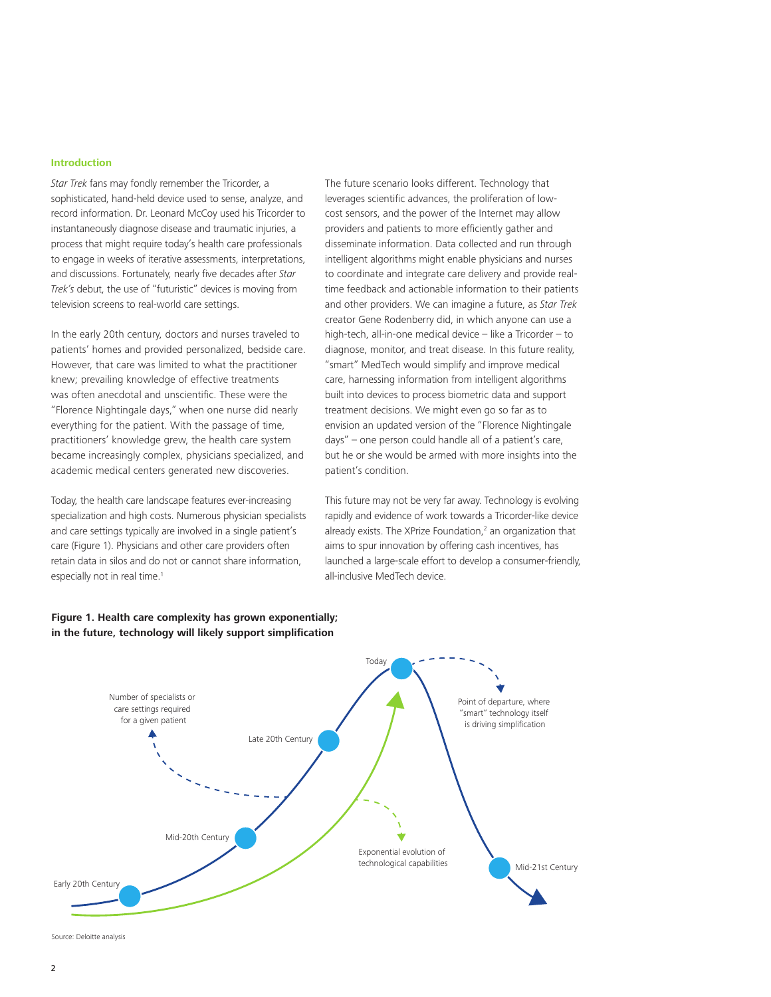#### **Introduction**

*Star Trek* fans may fondly remember the Tricorder, a sophisticated, hand-held device used to sense, analyze, and record information. Dr. Leonard McCoy used his Tricorder to instantaneously diagnose disease and traumatic injuries, a process that might require today's health care professionals to engage in weeks of iterative assessments, interpretations, and discussions. Fortunately, nearly five decades after *Star Trek's* debut, the use of "futuristic" devices is moving from television screens to real-world care settings.

In the early 20th century, doctors and nurses traveled to patients' homes and provided personalized, bedside care. However, that care was limited to what the practitioner knew; prevailing knowledge of effective treatments was often anecdotal and unscientific. These were the "Florence Nightingale days," when one nurse did nearly everything for the patient. With the passage of time, practitioners' knowledge grew, the health care system became increasingly complex, physicians specialized, and academic medical centers generated new discoveries.

Today, the health care landscape features ever-increasing specialization and high costs. Numerous physician specialists and care settings typically are involved in a single patient's care (Figure 1). Physicians and other care providers often retain data in silos and do not or cannot share information, especially not in real time.<sup>1</sup>

The future scenario looks different. Technology that leverages scientific advances, the proliferation of lowcost sensors, and the power of the Internet may allow providers and patients to more efficiently gather and disseminate information. Data collected and run through intelligent algorithms might enable physicians and nurses to coordinate and integrate care delivery and provide realtime feedback and actionable information to their patients and other providers. We can imagine a future, as *Star Trek*  creator Gene Rodenberry did, in which anyone can use a high-tech, all-in-one medical device – like a Tricorder – to diagnose, monitor, and treat disease. In this future reality, "smart" MedTech would simplify and improve medical care, harnessing information from intelligent algorithms built into devices to process biometric data and support treatment decisions. We might even go so far as to envision an updated version of the "Florence Nightingale days" – one person could handle all of a patient's care, but he or she would be armed with more insights into the patient's condition.

This future may not be very far away. Technology is evolving rapidly and evidence of work towards a Tricorder-like device already exists. The XPrize Foundation,<sup>2</sup> an organization that aims to spur innovation by offering cash incentives, has launched a large-scale effort to develop a consumer-friendly, all-inclusive MedTech device.



#### **Figure 1. Health care complexity has grown exponentially; in the future, technology will likely support simplification**

Source: Deloitte analysis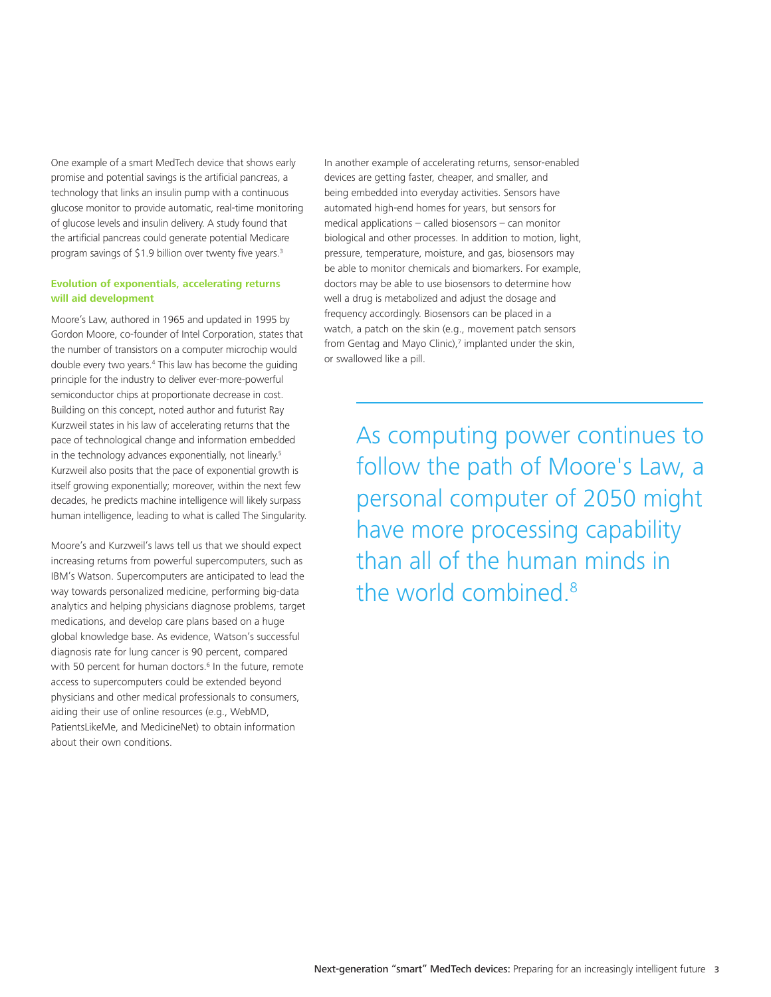One example of a smart MedTech device that shows early promise and potential savings is the artificial pancreas, a technology that links an insulin pump with a continuous glucose monitor to provide automatic, real-time monitoring of glucose levels and insulin delivery. A study found that the artificial pancreas could generate potential Medicare program savings of \$1.9 billion over twenty five years.<sup>3</sup>

#### **Evolution of exponentials, accelerating returns will aid development**

Moore's Law, authored in 1965 and updated in 1995 by Gordon Moore, co-founder of Intel Corporation, states that the number of transistors on a computer microchip would double every two years.4 This law has become the guiding principle for the industry to deliver ever-more-powerful semiconductor chips at proportionate decrease in cost. Building on this concept, noted author and futurist Ray Kurzweil states in his law of accelerating returns that the pace of technological change and information embedded in the technology advances exponentially, not linearly.<sup>5</sup> Kurzweil also posits that the pace of exponential growth is itself growing exponentially; moreover, within the next few decades, he predicts machine intelligence will likely surpass human intelligence, leading to what is called The Singularity.

Moore's and Kurzweil's laws tell us that we should expect increasing returns from powerful supercomputers, such as IBM's Watson. Supercomputers are anticipated to lead the way towards personalized medicine, performing big-data analytics and helping physicians diagnose problems, target medications, and develop care plans based on a huge global knowledge base. As evidence, Watson's successful diagnosis rate for lung cancer is 90 percent, compared with 50 percent for human doctors.<sup>6</sup> In the future, remote access to supercomputers could be extended beyond physicians and other medical professionals to consumers, aiding their use of online resources (e.g., WebMD, PatientsLikeMe, and MedicineNet) to obtain information about their own conditions.

In another example of accelerating returns, sensor-enabled devices are getting faster, cheaper, and smaller, and being embedded into everyday activities. Sensors have automated high-end homes for years, but sensors for medical applications – called biosensors – can monitor biological and other processes. In addition to motion, light, pressure, temperature, moisture, and gas, biosensors may be able to monitor chemicals and biomarkers. For example, doctors may be able to use biosensors to determine how well a drug is metabolized and adjust the dosage and frequency accordingly. Biosensors can be placed in a watch, a patch on the skin (e.g., movement patch sensors from Gentag and Mayo Clinic),<sup>7</sup> implanted under the skin, or swallowed like a pill.

> As computing power continues to follow the path of Moore's Law, a personal computer of 2050 might have more processing capability than all of the human minds in the world combined.8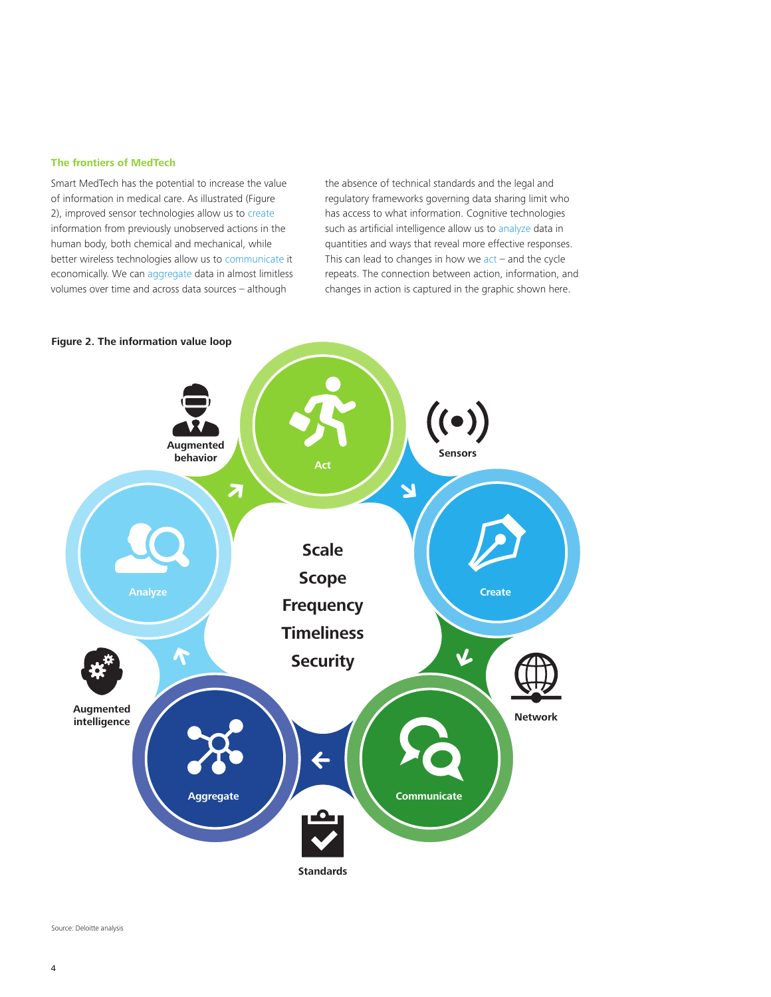#### **The frontiers of MedTech**

Smart MedTech has the potential to increase the value of information in medical care. As illustrated (Figure 2), improved sensor technologies allow us to create information from previously unobserved actions in the human body, both chemical and mechanical, while better wireless technologies allow us to communicate it economically. We can aggregate data in almost limitless volumes over time and across data sources – although

the absence of technical standards and the legal and regulatory frameworks governing data sharing limit who has access to what information. Cognitive technologies such as artificial intelligence allow us to analyze data in quantities and ways that reveal more effective responses. This can lead to changes in how we  $act$  – and the cycle repeats. The connection between action, information, and changes in action is captured in the graphic shown here.



**Figure 2. The information value loop**

Source: Deloitte analysis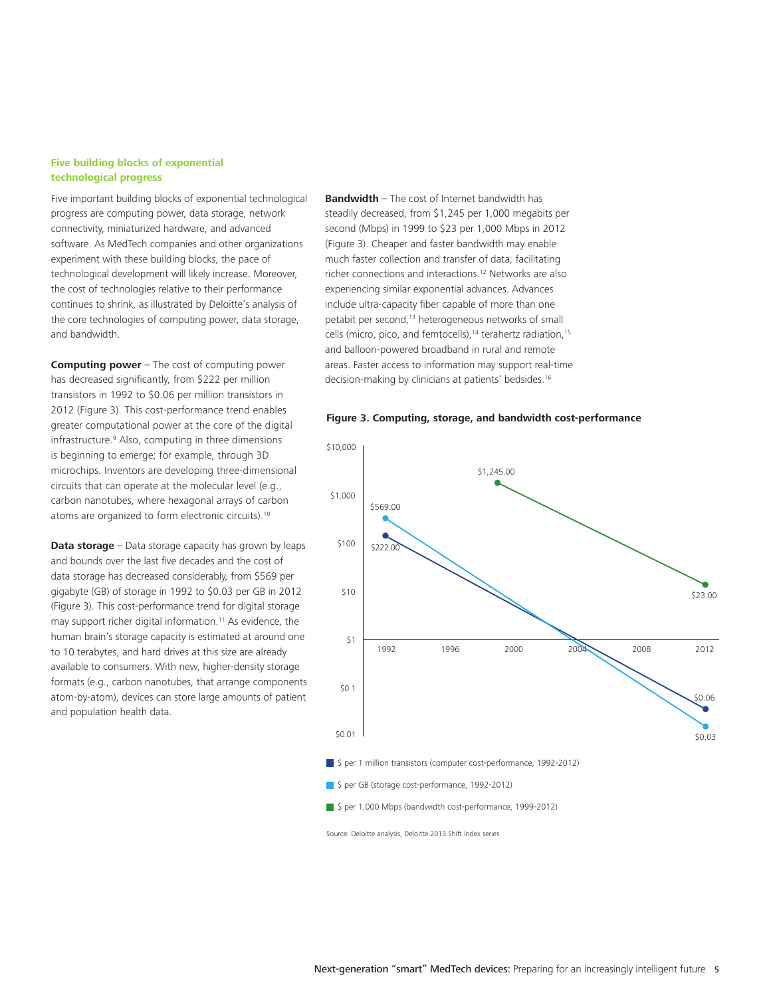#### **Five building blocks of exponential technological progress**

Five important building blocks of exponential technological progress are computing power, data storage, network connectivity, miniaturized hardware, and advanced software. As MedTech companies and other organizations experiment with these building blocks, the pace of technological development will likely increase. Moreover, the cost of technologies relative to their performance continues to shrink, as illustrated by Deloitte's analysis of the core technologies of computing power, data storage, and bandwidth.

**Computing power** – The cost of computing power has decreased significantly, from \$222 per million transistors in 1992 to \$0.06 per million transistors in 2012 (Figure 3). This cost-performance trend enables greater computational power at the core of the digital infrastructure.9 Also, computing in three dimensions is beginning to emerge; for example, through 3D microchips. Inventors are developing three-dimensional circuits that can operate at the molecular level (e.g., carbon nanotubes, where hexagonal arrays of carbon atoms are organized to form electronic circuits).10

**Data storage** – Data storage capacity has grown by leaps and bounds over the last five decades and the cost of data storage has decreased considerably, from \$569 per gigabyte (GB) of storage in 1992 to \$0.03 per GB in 2012 (Figure 3). This cost-performance trend for digital storage may support richer digital information.<sup>11</sup> As evidence, the human brain's storage capacity is estimated at around one to 10 terabytes, and hard drives at this size are already available to consumers. With new, higher-density storage formats (e.g., carbon nanotubes, that arrange components atom-by-atom), devices can store large amounts of patient and population health data.

**Bandwidth** – The cost of Internet bandwidth has steadily decreased, from \$1,245 per 1,000 megabits per second (Mbps) in 1999 to \$23 per 1,000 Mbps in 2012 (Figure 3). Cheaper and faster bandwidth may enable much faster collection and transfer of data, facilitating richer connections and interactions.12 Networks are also experiencing similar exponential advances. Advances include ultra-capacity fiber capable of more than one petabit per second,<sup>13</sup> heterogeneous networks of small cells (micro, pico, and femtocells),<sup>14</sup> terahertz radiation,<sup>15</sup> and balloon-powered broadband in rural and remote areas. Faster access to information may support real-time decision-making by clinicians at patients' bedsides.<sup>16</sup>

#### **Figure 3. Computing, storage, and bandwidth cost-performance**



Source: Deloitte analysis, Deloitte 2013 Shift Index series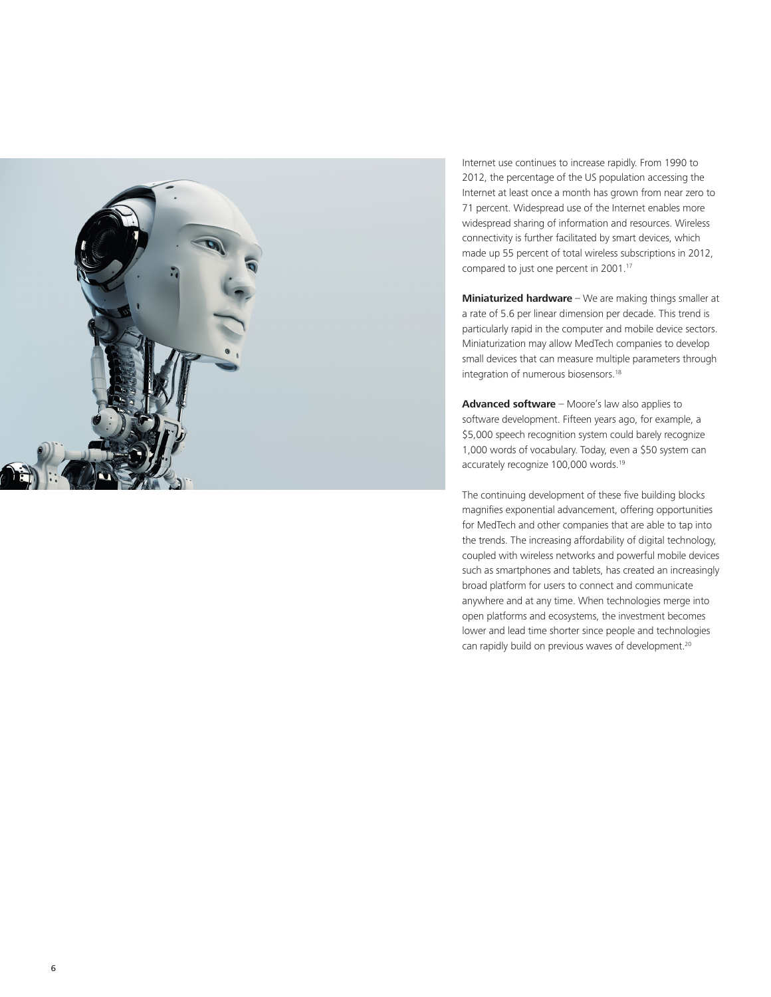

Internet use continues to increase rapidly. From 1990 to 2012, the percentage of the US population accessing the Internet at least once a month has grown from near zero to 71 percent. Widespread use of the Internet enables more widespread sharing of information and resources. Wireless connectivity is further facilitated by smart devices, which made up 55 percent of total wireless subscriptions in 2012, compared to just one percent in 2001.<sup>17</sup>

**Miniaturized hardware** – We are making things smaller at a rate of 5.6 per linear dimension per decade. This trend is particularly rapid in the computer and mobile device sectors. Miniaturization may allow MedTech companies to develop small devices that can measure multiple parameters through integration of numerous biosensors.18

**Advanced software** – Moore's law also applies to software development. Fifteen years ago, for example, a \$5,000 speech recognition system could barely recognize 1,000 words of vocabulary. Today, even a \$50 system can accurately recognize 100,000 words.19

The continuing development of these five building blocks magnifies exponential advancement, offering opportunities for MedTech and other companies that are able to tap into the trends. The increasing affordability of digital technology, coupled with wireless networks and powerful mobile devices such as smartphones and tablets, has created an increasingly broad platform for users to connect and communicate anywhere and at any time. When technologies merge into open platforms and ecosystems, the investment becomes lower and lead time shorter since people and technologies can rapidly build on previous waves of development.20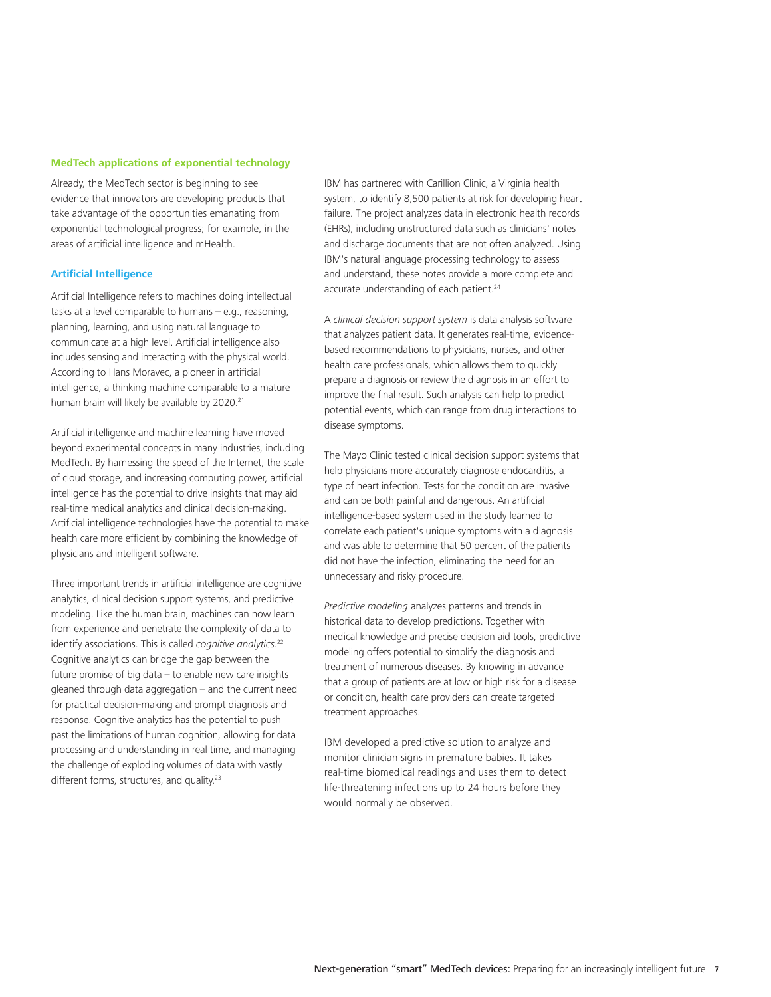#### **MedTech applications of exponential technology**

Already, the MedTech sector is beginning to see evidence that innovators are developing products that take advantage of the opportunities emanating from exponential technological progress; for example, in the areas of artificial intelligence and mHealth.

#### **Artificial Intelligence**

Artificial Intelligence refers to machines doing intellectual tasks at a level comparable to humans – e.g., reasoning, planning, learning, and using natural language to communicate at a high level. Artificial intelligence also includes sensing and interacting with the physical world. According to Hans Moravec, a pioneer in artificial intelligence, a thinking machine comparable to a mature human brain will likely be available by 2020.<sup>21</sup>

Artificial intelligence and machine learning have moved beyond experimental concepts in many industries, including MedTech. By harnessing the speed of the Internet, the scale of cloud storage, and increasing computing power, artificial intelligence has the potential to drive insights that may aid real-time medical analytics and clinical decision-making. Artificial intelligence technologies have the potential to make health care more efficient by combining the knowledge of physicians and intelligent software.

Three important trends in artificial intelligence are cognitive analytics, clinical decision support systems, and predictive modeling. Like the human brain, machines can now learn from experience and penetrate the complexity of data to identify associations. This is called *cognitive analytics*. 22 Cognitive analytics can bridge the gap between the future promise of big data – to enable new care insights gleaned through data aggregation – and the current need for practical decision-making and prompt diagnosis and response. Cognitive analytics has the potential to push past the limitations of human cognition, allowing for data processing and understanding in real time, and managing the challenge of exploding volumes of data with vastly different forms, structures, and quality.<sup>23</sup>

IBM has partnered with Carillion Clinic, a Virginia health system, to identify 8,500 patients at risk for developing heart failure. The project analyzes data in electronic health records (EHRs), including unstructured data such as clinicians' notes and discharge documents that are not often analyzed. Using IBM's natural language processing technology to assess and understand, these notes provide a more complete and accurate understanding of each patient.<sup>24</sup>

A *clinical decision support system* is data analysis software that analyzes patient data. It generates real-time, evidencebased recommendations to physicians, nurses, and other health care professionals, which allows them to quickly prepare a diagnosis or review the diagnosis in an effort to improve the final result. Such analysis can help to predict potential events, which can range from drug interactions to disease symptoms.

The Mayo Clinic tested clinical decision support systems that help physicians more accurately diagnose endocarditis, a type of heart infection. Tests for the condition are invasive and can be both painful and dangerous. An artificial intelligence-based system used in the study learned to correlate each patient's unique symptoms with a diagnosis and was able to determine that 50 percent of the patients did not have the infection, eliminating the need for an unnecessary and risky procedure.

*Predictive modeling* analyzes patterns and trends in historical data to develop predictions. Together with medical knowledge and precise decision aid tools, predictive modeling offers potential to simplify the diagnosis and treatment of numerous diseases. By knowing in advance that a group of patients are at low or high risk for a disease or condition, health care providers can create targeted treatment approaches.

IBM developed a predictive solution to analyze and monitor clinician signs in premature babies. It takes real-time biomedical readings and uses them to detect life-threatening infections up to 24 hours before they would normally be observed.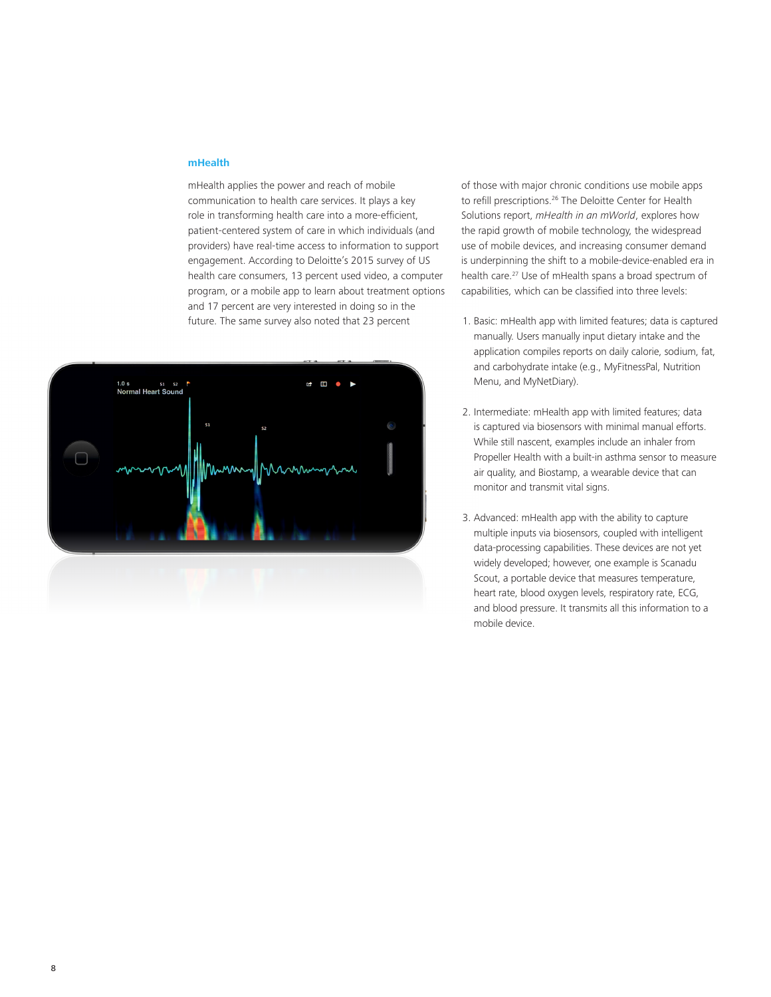#### **mHealth**

mHealth applies the power and reach of mobile communication to health care services. It plays a key role in transforming health care into a more-efficient, patient-centered system of care in which individuals (and providers) have real-time access to information to support engagement. According to Deloitte's 2015 survey of US health care consumers, 13 percent used video, a computer program, or a mobile app to learn about treatment options and 17 percent are very interested in doing so in the future. The same survey also noted that 23 percent



of those with major chronic conditions use mobile apps to refill prescriptions.26 The Deloitte Center for Health Solutions report, *mHealth in an mWorld*, explores how the rapid growth of mobile technology, the widespread use of mobile devices, and increasing consumer demand is underpinning the shift to a mobile-device-enabled era in health care.27 Use of mHealth spans a broad spectrum of capabilities, which can be classified into three levels:

- 1. Basic: mHealth app with limited features; data is captured manually. Users manually input dietary intake and the application compiles reports on daily calorie, sodium, fat, and carbohydrate intake (e.g., MyFitnessPal, Nutrition Menu, and MyNetDiary).
- 2. Intermediate: mHealth app with limited features; data is captured via biosensors with minimal manual efforts. While still nascent, examples include an inhaler from Propeller Health with a built-in asthma sensor to measure air quality, and Biostamp, a wearable device that can monitor and transmit vital signs.
- 3. Advanced: mHealth app with the ability to capture multiple inputs via biosensors, coupled with intelligent data-processing capabilities. These devices are not yet widely developed; however, one example is Scanadu Scout, a portable device that measures temperature, heart rate, blood oxygen levels, respiratory rate, ECG, and blood pressure. It transmits all this information to a mobile device.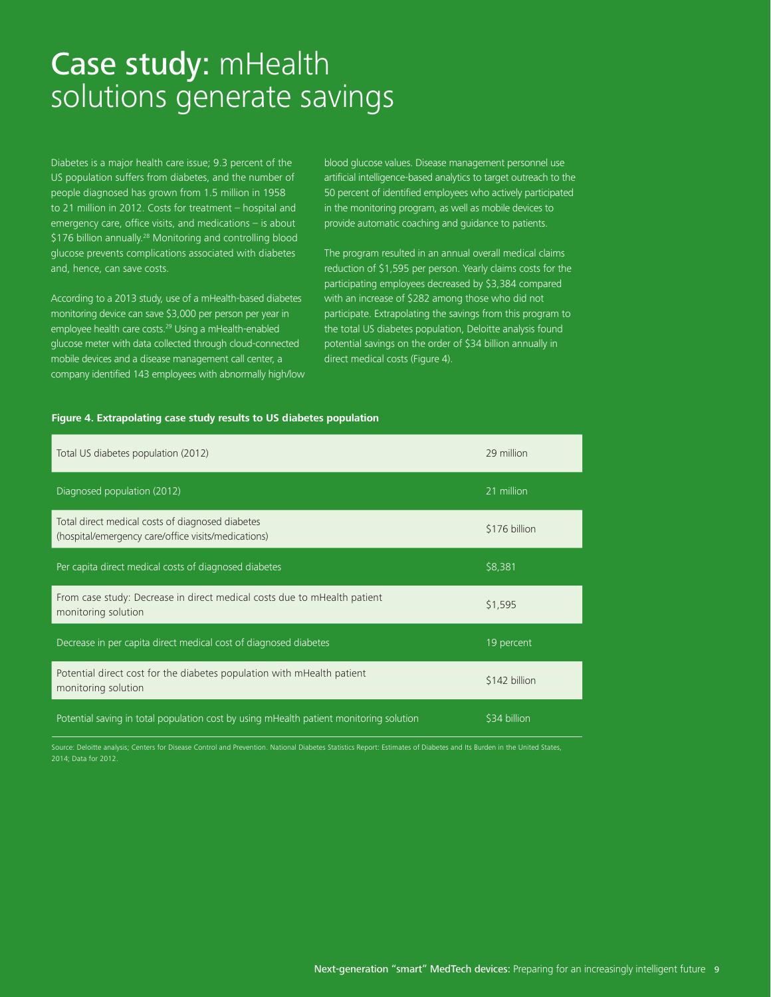### Case study: mHealth solutions generate savings

Diabetes is a major health care issue; 9.3 percent of the US population suffers from diabetes, and the number of people diagnosed has grown from 1.5 million in 1958 to 21 million in 2012. Costs for treatment – hospital and emergency care, office visits, and medications – is about \$176 billion annually.28 Monitoring and controlling blood glucose prevents complications associated with diabetes and, hence, can save costs.

According to a 2013 study, use of a mHealth-based diabetes monitoring device can save \$3,000 per person per year in employee health care costs.<sup>29</sup> Using a mHealth-enabled glucose meter with data collected through cloud-connected mobile devices and a disease management call center, a company identified 143 employees with abnormally high/low blood glucose values. Disease management personnel use artificial intelligence-based analytics to target outreach to the 50 percent of identified employees who actively participated in the monitoring program, as well as mobile devices to provide automatic coaching and guidance to patients.

The program resulted in an annual overall medical claims reduction of \$1,595 per person. Yearly claims costs for the participating employees decreased by \$3,384 compared with an increase of \$282 among those who did not participate. Extrapolating the savings from this program to the total US diabetes population, Deloitte analysis found potential savings on the order of \$34 billion annually in direct medical costs (Figure 4).

#### **Figure 4. Extrapolating case study results to US diabetes population**

| Total US diabetes population (2012)                                                                     | 29 million    |
|---------------------------------------------------------------------------------------------------------|---------------|
| Diagnosed population (2012)                                                                             | 21 million    |
| Total direct medical costs of diagnosed diabetes<br>(hospital/emergency care/office visits/medications) | \$176 billion |
| Per capita direct medical costs of diagnosed diabetes                                                   | \$8,381       |
| From case study: Decrease in direct medical costs due to mHealth patient<br>monitoring solution         | \$1,595       |
| Decrease in per capita direct medical cost of diagnosed diabetes                                        | 19 percent    |
| Potential direct cost for the diabetes population with mHealth patient<br>monitoring solution           | \$142 billion |
| Potential saving in total population cost by using mHealth patient monitoring solution                  | \$34 billion  |

Source: Deloitte analysis; Centers for Disease Control and Prevention. National Diabetes Statistics Report: Estimates of Diabetes and Its Burden in the United States, 2014; Data for 2012.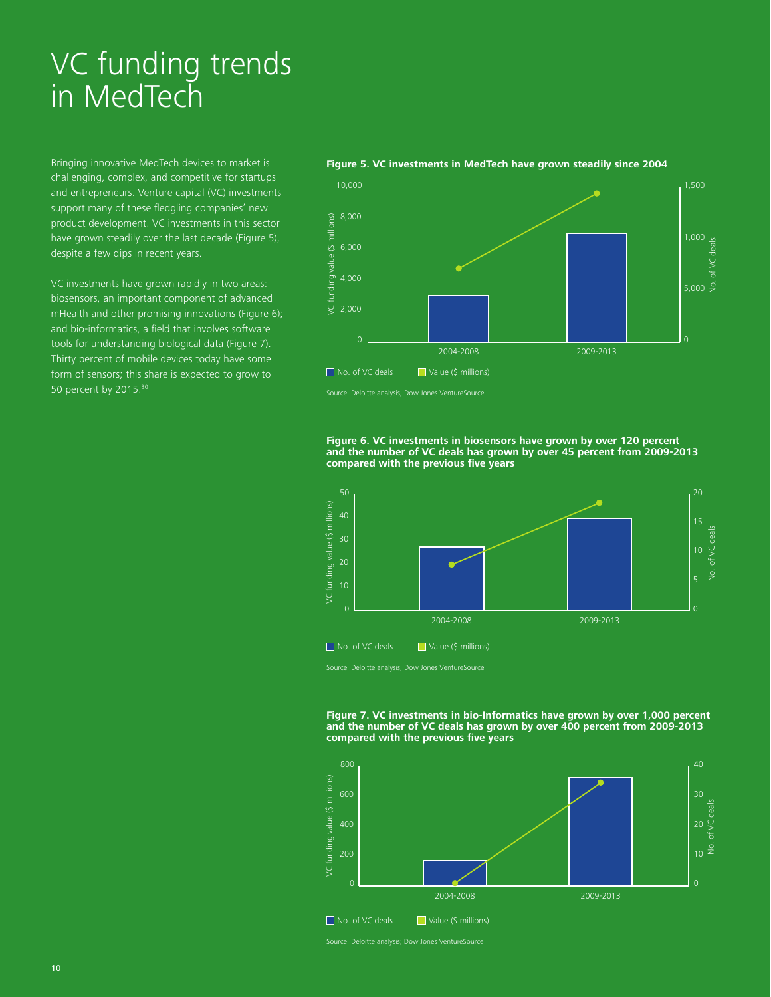## VC funding trends in MedTech

Bringing innovative MedTech devices to market is challenging, complex, and competitive for startups and entrepreneurs. Venture capital (VC) investments support many of these fledgling companies' new product development. VC investments in this sector have grown steadily over the last decade (Figure 5), despite a few dips in recent years.

VC investments have grown rapidly in two areas: biosensors, an important component of advanced mHealth and other promising innovations (Figure 6); and bio-informatics, a field that involves software tools for understanding biological data (Figure 7). Thirty percent of mobile devices today have some form of sensors; this share is expected to grow to 50 percent by 2015.30

#### 10,000  $_1$  , the contract of the contract of the contract of the contract of the contract of the contract of the contract of the contract of the contract of the contract of the contract of the contract of the contract of 8,000 /C funding value (\$ millions) VC funding value (\$ millions) 1,000 of VC deals No. of VC deals 6,000 4,000  $5,000 \frac{9}{5}$ 2,000 0 2004-2008 2009-2013 ■ No. of VC deals ■ Value (\$ millions)

#### **Figure 5. VC investments in MedTech have grown steadily since 2004**

Source: Deloitte analysis; Dow Jones VentureSource

**Figure 6. VC investments in biosensors have grown by over 120 percent and the number of VC deals has grown by over 45 percent from 2009-2013 compared with the previous five years**



Source: Deloitte analysis; Dow Jones VentureSource

#### **Figure 7. VC investments in bio-Informatics have grown by over 1,000 percent and the number of VC deals has grown by over 400 percent from 2009-2013 compared with the previous five years**



Source: Deloitte analysis; Dow Jones VentureSource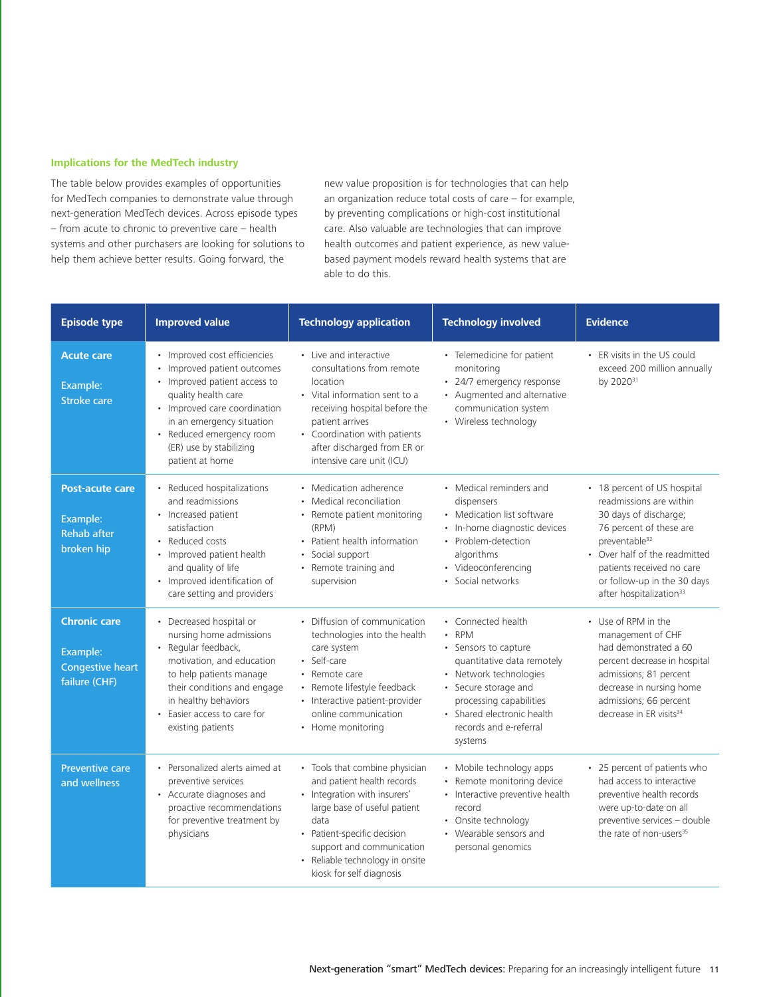#### **Implications for the MedTech industry**

The table below provides examples of opportunities for MedTech companies to demonstrate value through next-generation MedTech devices. Across episode types – from acute to chronic to preventive care – health systems and other purchasers are looking for solutions to help them achieve better results. Going forward, the

new value proposition is for technologies that can help an organization reduce total costs of care – for example, by preventing complications or high-cost institutional care. Also valuable are technologies that can improve health outcomes and patient experience, as new valuebased payment models reward health systems that are able to do this.

| <b>Episode type</b>                                                         | <b>Improved value</b>                                                                                                                                                                                                                                     | <b>Technology application</b>                                                                                                                                                                                                                                   | <b>Technology involved</b>                                                                                                                                                                                                              | <b>Evidence</b>                                                                                                                                                                                                                                                             |
|-----------------------------------------------------------------------------|-----------------------------------------------------------------------------------------------------------------------------------------------------------------------------------------------------------------------------------------------------------|-----------------------------------------------------------------------------------------------------------------------------------------------------------------------------------------------------------------------------------------------------------------|-----------------------------------------------------------------------------------------------------------------------------------------------------------------------------------------------------------------------------------------|-----------------------------------------------------------------------------------------------------------------------------------------------------------------------------------------------------------------------------------------------------------------------------|
| <b>Acute care</b><br>Example:<br>Stroke care                                | • Improved cost efficiencies<br>• Improved patient outcomes<br>• Improved patient access to<br>quality health care<br>• Improved care coordination<br>in an emergency situation<br>• Reduced emergency room<br>(ER) use by stabilizing<br>patient at home | • Live and interactive<br>consultations from remote<br>location<br>• Vital information sent to a<br>receiving hospital before the<br>patient arrives<br>• Coordination with patients<br>after discharged from ER or<br>intensive care unit (ICU)                | • Telemedicine for patient<br>monitoring<br>• 24/7 emergency response<br>• Augmented and alternative<br>communication system<br>• Wireless technology                                                                                   | • ER visits in the US could<br>exceed 200 million annually<br>by 2020 <sup>31</sup>                                                                                                                                                                                         |
| <b>Post-acute care</b><br>Example:<br><b>Rehab after</b><br>broken hip      | • Reduced hospitalizations<br>and readmissions<br>• Increased patient<br>satisfaction<br>• Reduced costs<br>Improved patient health<br>$\bullet$<br>and quality of life<br>• Improved identification of<br>care setting and providers                     | • Medication adherence<br>Medical reconciliation<br>• Remote patient monitoring<br>(RPM)<br>• Patient health information<br>Social support<br>• Remote training and<br>supervision                                                                              | • Medical reminders and<br>dispensers<br>• Medication list software<br>• In-home diagnostic devices<br>• Problem-detection<br>algorithms<br>• Videoconferencing<br>· Social networks                                                    | • 18 percent of US hospital<br>readmissions are within<br>30 days of discharge;<br>76 percent of these are<br>preventable <sup>32</sup><br>• Over half of the readmitted<br>patients received no care<br>or follow-up in the 30 days<br>after hospitalization <sup>33</sup> |
| <b>Chronic care</b><br>Example:<br><b>Congestive heart</b><br>failure (CHF) | • Decreased hospital or<br>nursing home admissions<br>Regular feedback,<br>motivation, and education<br>to help patients manage<br>their conditions and engage<br>in healthy behaviors<br>• Easier access to care for<br>existing patients                | • Diffusion of communication<br>technologies into the health<br>care system<br>• Self-care<br>• Remote care<br>Remote lifestyle feedback<br>• Interactive patient-provider<br>online communication<br>• Home monitoring                                         | • Connected health<br>$\cdot$ RPM<br>• Sensors to capture<br>quantitative data remotely<br>• Network technologies<br>• Secure storage and<br>processing capabilities<br>• Shared electronic health<br>records and e-referral<br>systems | • Use of RPM in the<br>management of CHF<br>had demonstrated a 60<br>percent decrease in hospital<br>admissions; 81 percent<br>decrease in nursing home<br>admissions; 66 percent<br>decrease in ER visits <sup>34</sup>                                                    |
| <b>Preventive care</b><br>and wellness                                      | • Personalized alerts aimed at<br>preventive services<br>• Accurate diagnoses and<br>proactive recommendations<br>for preventive treatment by<br>physicians                                                                                               | • Tools that combine physician<br>and patient health records<br>• Integration with insurers'<br>large base of useful patient<br>data<br>• Patient-specific decision<br>support and communication<br>• Reliable technology in onsite<br>kiosk for self diagnosis | • Mobile technology apps<br>Remote monitoring device<br>• Interactive preventive health<br>record<br>• Onsite technology<br>• Wearable sensors and<br>personal genomics                                                                 | • 25 percent of patients who<br>had access to interactive<br>preventive health records<br>were up-to-date on all<br>preventive services - double<br>the rate of non-users <sup>35</sup>                                                                                     |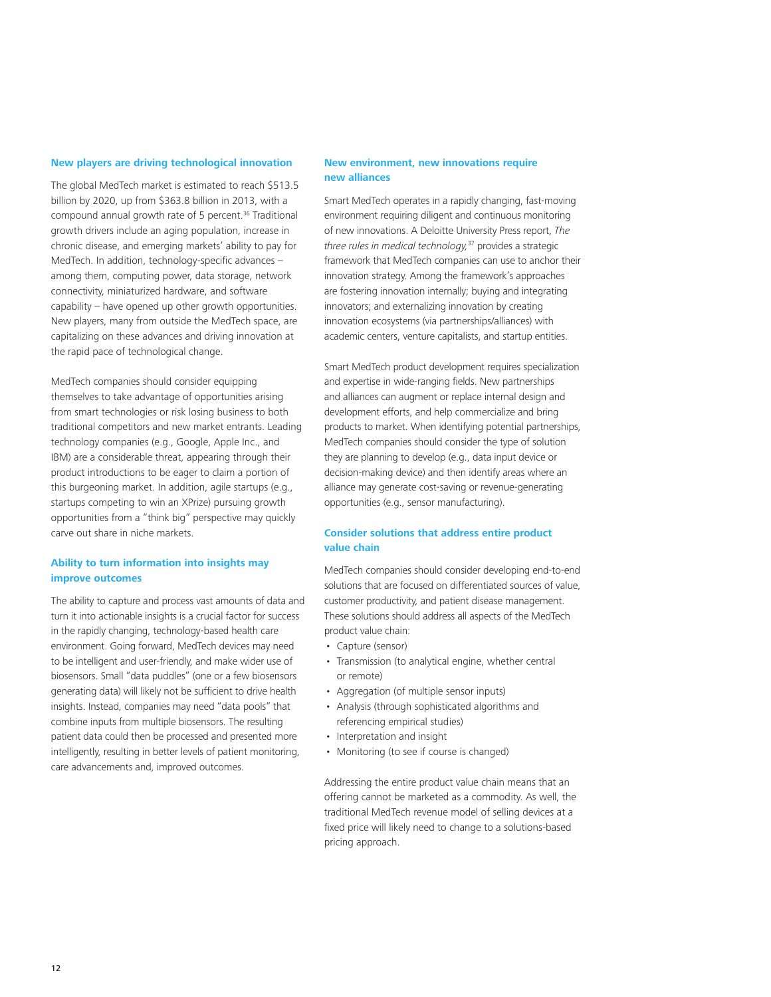#### **New players are driving technological innovation**

The global MedTech market is estimated to reach \$513.5 billion by 2020, up from \$363.8 billion in 2013, with a compound annual growth rate of 5 percent.<sup>36</sup> Traditional growth drivers include an aging population, increase in chronic disease, and emerging markets' ability to pay for MedTech. In addition, technology-specific advances – among them, computing power, data storage, network connectivity, miniaturized hardware, and software capability – have opened up other growth opportunities. New players, many from outside the MedTech space, are capitalizing on these advances and driving innovation at the rapid pace of technological change.

MedTech companies should consider equipping themselves to take advantage of opportunities arising from smart technologies or risk losing business to both traditional competitors and new market entrants. Leading technology companies (e.g., Google, Apple Inc., and IBM) are a considerable threat, appearing through their product introductions to be eager to claim a portion of this burgeoning market. In addition, agile startups (e.g., startups competing to win an XPrize) pursuing growth opportunities from a "think big" perspective may quickly carve out share in niche markets.

#### **Ability to turn information into insights may improve outcomes**

The ability to capture and process vast amounts of data and turn it into actionable insights is a crucial factor for success in the rapidly changing, technology-based health care environment. Going forward, MedTech devices may need to be intelligent and user-friendly, and make wider use of biosensors. Small "data puddles" (one or a few biosensors generating data) will likely not be sufficient to drive health insights. Instead, companies may need "data pools" that combine inputs from multiple biosensors. The resulting patient data could then be processed and presented more intelligently, resulting in better levels of patient monitoring, care advancements and, improved outcomes.

#### **New environment, new innovations require new alliances**

Smart MedTech operates in a rapidly changing, fast-moving environment requiring diligent and continuous monitoring of new innovations. A Deloitte University Press report, *The three rules in medical technology,*37 provides a strategic framework that MedTech companies can use to anchor their innovation strategy. Among the framework's approaches are fostering innovation internally; buying and integrating innovators; and externalizing innovation by creating innovation ecosystems (via partnerships/alliances) with academic centers, venture capitalists, and startup entities.

Smart MedTech product development requires specialization and expertise in wide-ranging fields. New partnerships and alliances can augment or replace internal design and development efforts, and help commercialize and bring products to market. When identifying potential partnerships, MedTech companies should consider the type of solution they are planning to develop (e.g., data input device or decision-making device) and then identify areas where an alliance may generate cost-saving or revenue-generating opportunities (e.g., sensor manufacturing).

#### **Consider solutions that address entire product value chain**

MedTech companies should consider developing end-to-end solutions that are focused on differentiated sources of value, customer productivity, and patient disease management. These solutions should address all aspects of the MedTech product value chain:

- Capture (sensor)
- Transmission (to analytical engine, whether central or remote)
- Aggregation (of multiple sensor inputs)
- Analysis (through sophisticated algorithms and referencing empirical studies)
- Interpretation and insight
- Monitoring (to see if course is changed)

Addressing the entire product value chain means that an offering cannot be marketed as a commodity. As well, the traditional MedTech revenue model of selling devices at a fixed price will likely need to change to a solutions-based pricing approach.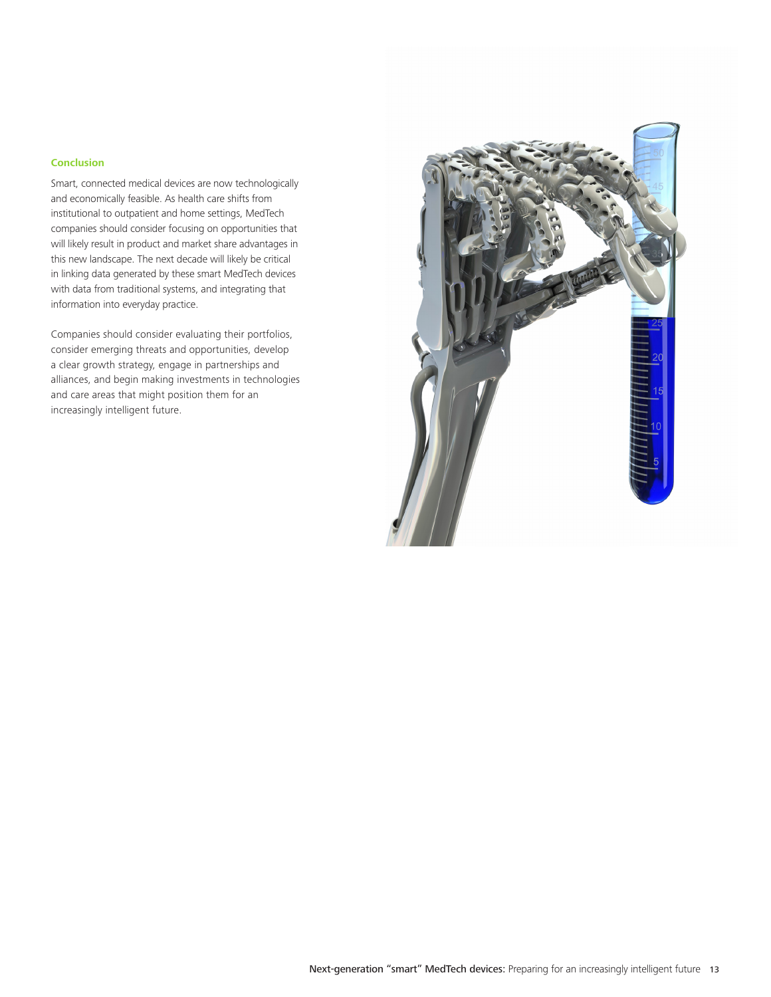#### **Conclusion**

Smart, connected medical devices are now technologically and economically feasible. As health care shifts from institutional to outpatient and home settings, MedTech companies should consider focusing on opportunities that will likely result in product and market share advantages in this new landscape. The next decade will likely be critical in linking data generated by these smart MedTech devices with data from traditional systems, and integrating that information into everyday practice.

Companies should consider evaluating their portfolios, consider emerging threats and opportunities, develop a clear growth strategy, engage in partnerships and alliances, and begin making investments in technologies and care areas that might position them for an increasingly intelligent future.

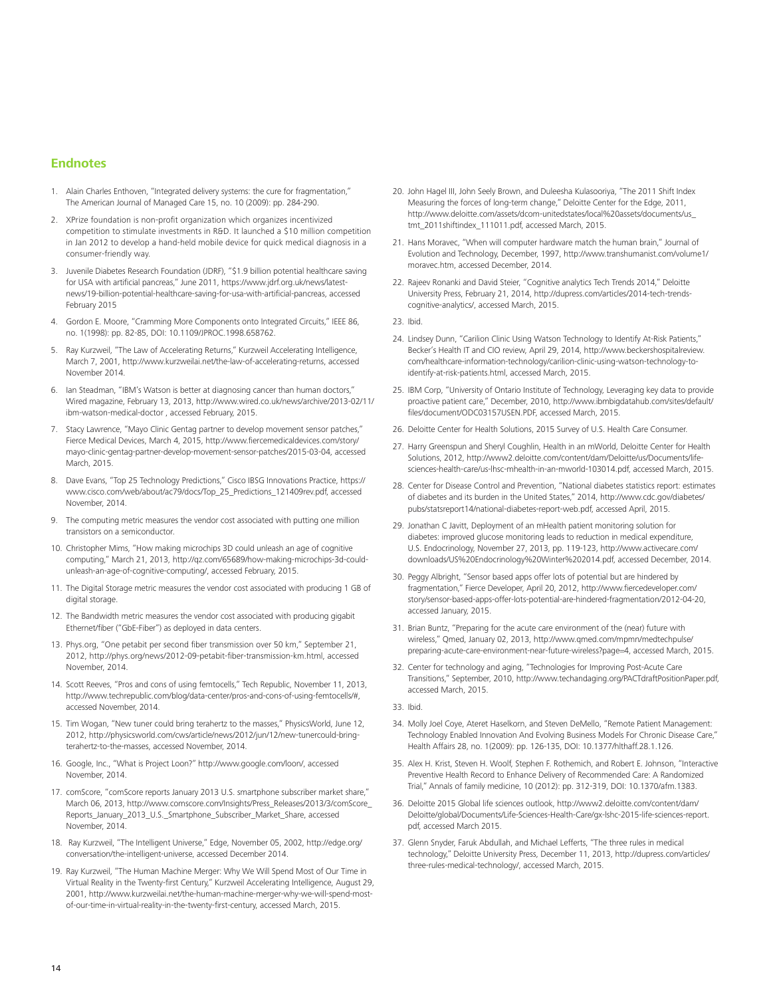#### **Endnotes**

- 1. Alain Charles Enthoven, "Integrated delivery systems: the cure for fragmentation," The American Journal of Managed Care 15, no. 10 (2009): pp. 284-290.
- 2. XPrize foundation is non-profit organization which organizes incentivized competition to stimulate investments in R&D. It launched a \$10 million competition in Jan 2012 to develop a hand-held mobile device for quick medical diagnosis in a consumer-friendly way.
- 3. Juvenile Diabetes Research Foundation (JDRF), "\$1.9 billion potential healthcare saving for USA with artificial pancreas," June 2011, https://www.jdrf.org.uk/news/latestnews/19-billion-potential-healthcare-saving-for-usa-with-artificial-pancreas, accessed February 2015
- 4. Gordon E. Moore, "Cramming More Components onto Integrated Circuits," IEEE 86, no. 1(1998): pp. 82-85, DOI: 10.1109/JPROC.1998.658762.
- 5. Ray Kurzweil, "The Law of Accelerating Returns," Kurzweil Accelerating Intelligence, March 7, 2001, http://www.kurzweilai.net/the-law-of-accelerating-returns, accessed November 2014.
- 6. Ian Steadman, "IBM's Watson is better at diagnosing cancer than human doctors," Wired magazine, February 13, 2013, http://www.wired.co.uk/news/archive/2013-02/11/ ibm-watson-medical-doctor , accessed February, 2015.
- 7. Stacy Lawrence, "Mayo Clinic Gentag partner to develop movement sensor patches," Fierce Medical Devices, March 4, 2015, http://www.fiercemedicaldevices.com/story/ mayo-clinic-gentag-partner-develop-movement-sensor-patches/2015-03-04, accessed March, 2015.
- 8. Dave Evans, "Top 25 Technology Predictions," Cisco IBSG Innovations Practice, https:// www.cisco.com/web/about/ac79/docs/Top\_25\_Predictions\_121409rev.pdf, accessed November, 2014.
- 9. The computing metric measures the vendor cost associated with putting one million transistors on a semiconductor.
- 10. Christopher Mims, "How making microchips 3D could unleash an age of cognitive computing," March 21, 2013, http://qz.com/65689/how-making-microchips-3d-couldunleash-an-age-of-cognitive-computing/, accessed February, 2015.
- 11. The Digital Storage metric measures the vendor cost associated with producing 1 GB of digital storage.
- 12. The Bandwidth metric measures the vendor cost associated with producing gigabit Ethernet/fiber ("GbE-Fiber") as deployed in data centers.
- 13. Phys.org, "One petabit per second fiber transmission over 50 km," September 21, 2012, http://phys.org/news/2012-09-petabit-fiber-transmission-km.html, accessed November, 2014.
- 14. Scott Reeves, "Pros and cons of using femtocells," Tech Republic, November 11, 2013, http://www.techrepublic.com/blog/data-center/pros-and-cons-of-using-femtocells/#, accessed November, 2014.
- 15. Tim Wogan, "New tuner could bring terahertz to the masses," PhysicsWorld, June 12, 2012, http://physicsworld.com/cws/article/news/2012/jun/12/new-tunercould-bringterahertz-to-the-masses, accessed November, 2014.
- 16. Google, Inc., "What is Project Loon?" http://www.google.com/loon/, accessed November, 2014.
- 17. comScore, "comScore reports January 2013 U.S. smartphone subscriber market share," March 06, 2013, http://www.comscore.com/Insights/Press\_Releases/2013/3/comScore\_ Reports\_January\_2013\_U.S.\_Smartphone\_Subscriber\_Market\_Share, accessed November, 2014.
- 18. Ray Kurzweil, "The Intelligent Universe," Edge, November 05, 2002, http://edge.org/ conversation/the-intelligent-universe, accessed December 2014.
- 19. Ray Kurzweil, "The Human Machine Merger: Why We Will Spend Most of Our Time in Virtual Reality in the Twenty-first Century," Kurzweil Accelerating Intelligence, August 29, 2001, http://www.kurzweilai.net/the-human-machine-merger-why-we-will-spend-mostof-our-time-in-virtual-reality-in-the-twenty-first-century, accessed March, 2015.
- 20. John Hagel III, John Seely Brown, and Duleesha Kulasooriya, "The 2011 Shift Index Measuring the forces of long-term change," Deloitte Center for the Edge, 2011, http://www.deloitte.com/assets/dcom-unitedstates/local%20assets/documents/us\_ tmt\_2011shiftindex\_111011.pdf, accessed March, 2015.
- 21. Hans Moravec, "When will computer hardware match the human brain," Journal of Evolution and Technology, December, 1997, http://www.transhumanist.com/volume1/ moravec.htm, accessed December, 2014.
- 22. Rajeev Ronanki and David Steier, "Cognitive analytics Tech Trends 2014," Deloitte University Press, February 21, 2014, http://dupress.com/articles/2014-tech-trendscognitive-analytics/, accessed March, 2015.
- 23. Ibid.
- 24. Lindsey Dunn, "Carilion Clinic Using Watson Technology to Identify At-Risk Patients," Becker's Health IT and CIO review, April 29, 2014, http://www.beckershospitalreview. com/healthcare-information-technology/carilion-clinic-using-watson-technology-toidentify-at-risk-patients.html, accessed March, 2015.
- 25. IBM Corp, "University of Ontario Institute of Technology, Leveraging key data to provide proactive patient care," December, 2010, http://www.ibmbigdatahub.com/sites/default/ files/document/ODC03157USEN.PDF, accessed March, 2015.
- 26. Deloitte Center for Health Solutions, 2015 Survey of U.S. Health Care Consumer.
- 27. Harry Greenspun and Sheryl Coughlin, Health in an mWorld, Deloitte Center for Health Solutions, 2012, http://www2.deloitte.com/content/dam/Deloitte/us/Documents/lifesciences-health-care/us-lhsc-mhealth-in-an-mworld-103014.pdf, accessed March, 2015.
- 28. Center for Disease Control and Prevention, "National diabetes statistics report: estimates of diabetes and its burden in the United States," 2014, http://www.cdc.gov/diabetes/ pubs/statsreport14/national-diabetes-report-web.pdf, accessed April, 2015.
- 29. Jonathan C Javitt, Deployment of an mHealth patient monitoring solution for diabetes: improved glucose monitoring leads to reduction in medical expenditure, U.S. Endocrinology, November 27, 2013, pp. 119-123, http://www.activecare.com/ downloads/US%20Endocrinology%20Winter%202014.pdf, accessed December, 2014.
- 30. Peggy Albright, "Sensor based apps offer lots of potential but are hindered by fragmentation," Fierce Developer, April 20, 2012, http://www.fiercedeveloper.com/ story/sensor-based-apps-offer-lots-potential-are-hindered-fragmentation/2012-04-20, accessed January, 2015.
- 31. Brian Buntz, "Preparing for the acute care environment of the (near) future with wireless," Qmed, January 02, 2013, http://www.qmed.com/mpmn/medtechpulse/ preparing-acute-care-environment-near-future-wireless?page=4, accessed March, 2015.
- 32. Center for technology and aging, "Technologies for Improving Post-Acute Care Transitions," September, 2010, http://www.techandaging.org/PACTdraftPositionPaper.pdf, accessed March, 2015.
- 33. Ibid.
- 34. Molly Joel Coye, Ateret Haselkorn, and Steven DeMello, "Remote Patient Management: Technology Enabled Innovation And Evolving Business Models For Chronic Disease Care," Health Affairs 28, no. 1(2009): pp. 126-135, DOI: 10.1377/hlthaff.28.1.126.
- 35. Alex H. Krist, Steven H. Woolf, Stephen F. Rothemich, and Robert E. Johnson, "Interactive Preventive Health Record to Enhance Delivery of Recommended Care: A Randomized Trial," Annals of family medicine, 10 (2012): pp. 312-319, DOI: 10.1370/afm.1383.
- 36. Deloitte 2015 Global life sciences outlook, http://www2.deloitte.com/content/dam/ Deloitte/global/Documents/Life-Sciences-Health-Care/gx-lshc-2015-life-sciences-report. pdf, accessed March 2015.
- 37. Glenn Snyder, Faruk Abdullah, and Michael Lefferts, "The three rules in medical technology," Deloitte University Press, December 11, 2013, http://dupress.com/articles/ three-rules-medical-technology/, accessed March, 2015.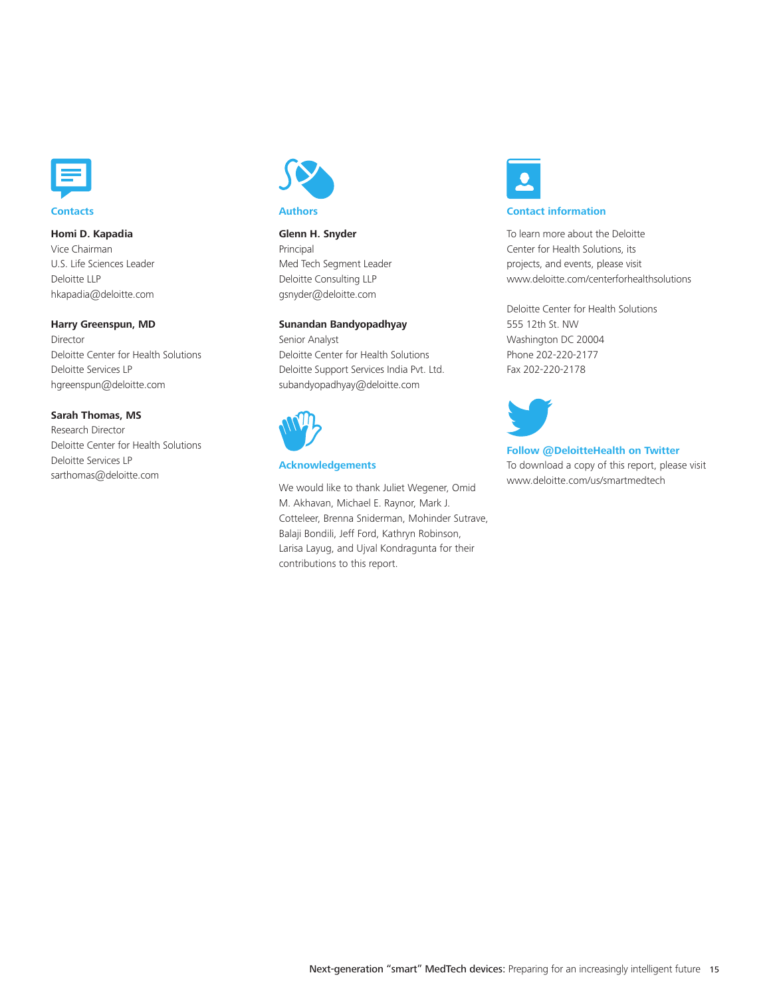

#### **Homi D. Kapadia**

Vice Chairman U.S. Life Sciences Leader Deloitte LLP hkapadia@deloitte.com

#### **Harry Greenspun, MD**

Director Deloitte Center for Health Solutions Deloitte Services LP hgreenspun@deloitte.com

#### **Sarah Thomas, MS**

Research Director Deloitte Center for Health Solutions Deloitte Services LP sarthomas@deloitte.com



#### **Glenn H. Snyder**

Principal Med Tech Segment Leader Deloitte Consulting LLP gsnyder@deloitte.com

#### **Sunandan Bandyopadhyay**

Senior Analyst Deloitte Center for Health Solutions Deloitte Support Services India Pvt. Ltd. subandyopadhyay@deloitte.com



#### **Acknowledgements**

We would like to thank Juliet Wegener, Omid M. Akhavan, Michael E. Raynor, Mark J. Cotteleer, Brenna Sniderman, Mohinder Sutrave, Balaji Bondili, Jeff Ford, Kathryn Robinson, Larisa Layug, and Ujval Kondragunta for their contributions to this report.



#### **Contact information**

To learn more about the Deloitte Center for Health Solutions, its projects, and events, please visit www.deloitte.com/centerforhealthsolutions

Deloitte Center for Health Solutions 555 12th St. NW Washington DC 20004 Phone 202-220-2177 Fax 202-220-2178



#### **Follow @DeloitteHealth on Twitter** To download a copy of this report, please visit www.deloitte.com/us/smartmedtech